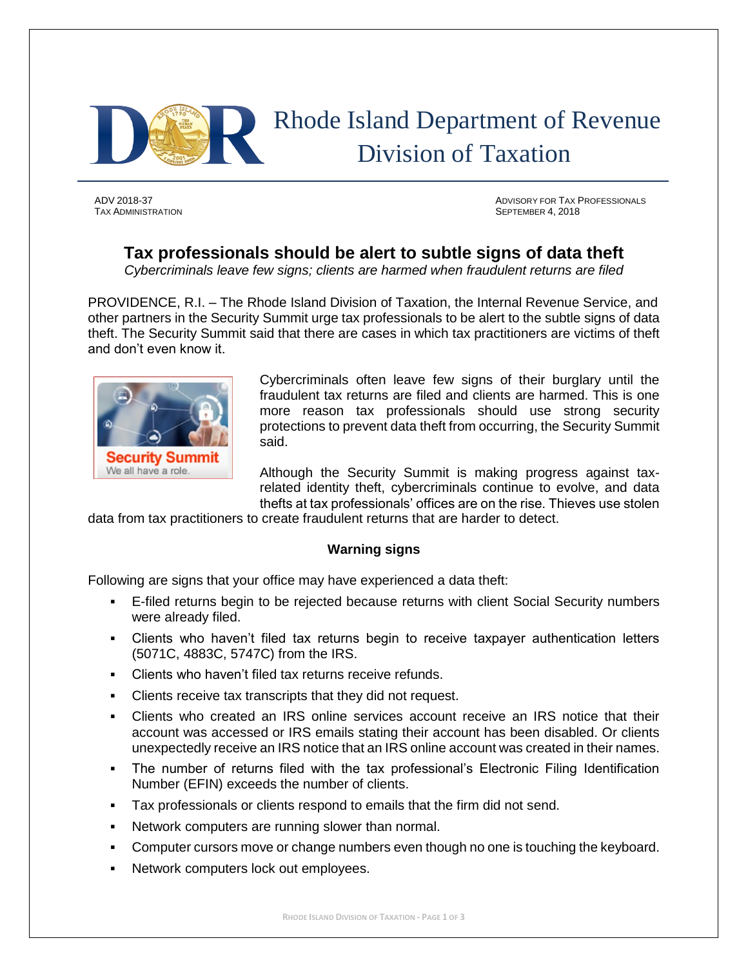

TAX ADMINISTRATION SEPTEMBER 4, 2018

ADV 2018-37 ADVISORY FOR TAX PROFESSIONALS

# **Tax professionals should be alert to subtle signs of data theft**

*Cybercriminals leave few signs; clients are harmed when fraudulent returns are filed*

PROVIDENCE, R.I. – The Rhode Island Division of Taxation, the Internal Revenue Service, and other partners in the Security Summit urge tax professionals to be alert to the subtle signs of data theft. The Security Summit said that there are cases in which tax practitioners are victims of theft and don't even know it.



Cybercriminals often leave few signs of their burglary until the fraudulent tax returns are filed and clients are harmed. This is one more reason tax professionals should use strong security protections to prevent data theft from occurring, the Security Summit said.

Although the Security Summit is making progress against taxrelated identity theft, cybercriminals continue to evolve, and data thefts at tax professionals' offices are on the rise. Thieves use stolen

data from tax practitioners to create fraudulent returns that are harder to detect.

# **Warning signs**

Following are signs that your office may have experienced a data theft:

- E-filed returns begin to be rejected because returns with client Social Security numbers were already filed.
- **EXECT** Clients who haven't filed tax returns begin to receive taxpayer authentication letters (5071C, 4883C, 5747C) from the IRS.
- Clients who haven't filed tax returns receive refunds.
- Clients receive tax transcripts that they did not request.
- Clients who created an IRS online services account receive an IRS notice that their account was accessed or IRS emails stating their account has been disabled. Or clients unexpectedly receive an IRS notice that an IRS online account was created in their names.
- The number of returns filed with the tax professional's Electronic Filing Identification Number (EFIN) exceeds the number of clients.
- Tax professionals or clients respond to emails that the firm did not send.
- Network computers are running slower than normal.
- Computer cursors move or change numbers even though no one is touching the keyboard.
- Network computers lock out employees.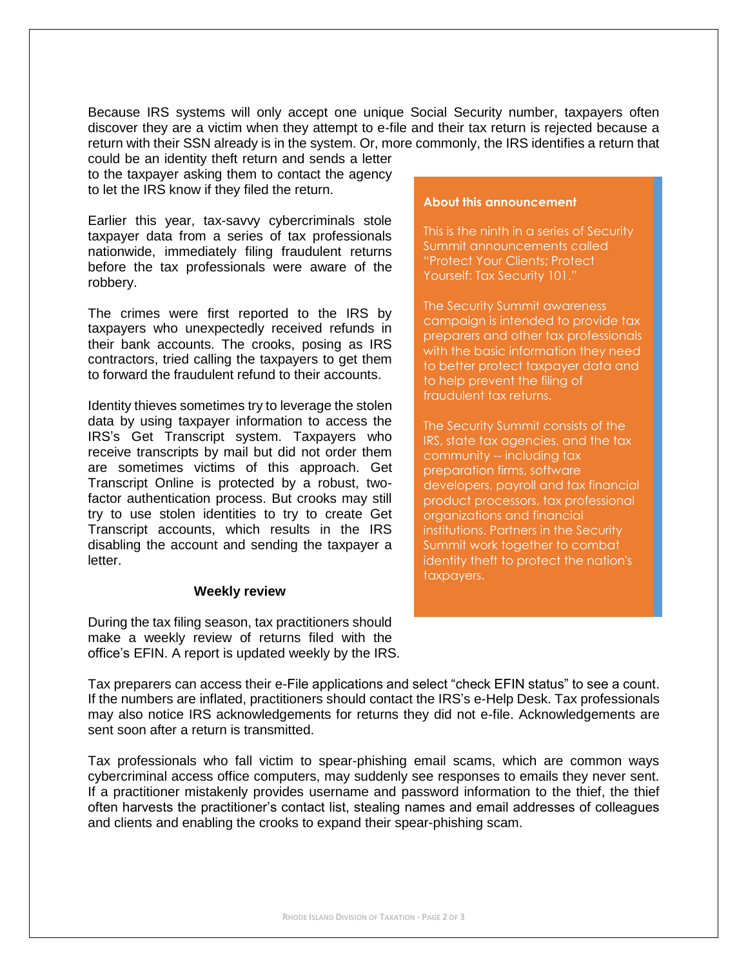Because IRS systems will only accept one unique Social Security number, taxpayers often discover they are a victim when they attempt to e-file and their tax return is rejected because a return with their SSN already is in the system. Or, more commonly, the IRS identifies a return that

could be an identity theft return and sends a letter to the taxpayer asking them to contact the agency to let the IRS know if they filed the return.

Earlier this year, tax-savvy cybercriminals stole taxpayer data from a series of tax professionals nationwide, immediately filing fraudulent returns before the tax professionals were aware of the robbery.

The crimes were first reported to the IRS by taxpayers who unexpectedly received refunds in their bank accounts. The crooks, posing as IRS contractors, tried calling the taxpayers to get them to forward the fraudulent refund to their accounts.

Identity thieves sometimes try to leverage the stolen data by using taxpayer information to access the IRS's Get Transcript system. Taxpayers who receive transcripts by mail but did not order them are sometimes victims of this approach. Get Transcript Online is protected by a robust, twofactor authentication process. But crooks may still try to use stolen identities to try to create Get Transcript accounts, which results in the IRS disabling the account and sending the taxpayer a letter.

## **Weekly review**

During the tax filing season, tax practitioners should make a weekly review of returns filed with the office's EFIN. A report is updated weekly by the IRS.

#### **About this announcement**

This is the ninth in a series of Security Summit announcements called "Protect Your Clients; Protect Yourself: Tax Security 101."

The Security Summit awareness campaign is intended to provide tax preparers and other tax professionals with the basic information they need to better protect taxpayer data and to help prevent the filing of fraudulent tax returns.

The Security Summit consists of the IRS, state tax agencies, and the tax community -- including tax preparation firms, software developers, payroll and tax financial product processors, tax professional organizations and financial institutions. Partners in the Security Summit work together to combat identity theft to protect the nation's taxpayers.

Tax preparers can access their e-File applications and select "check EFIN status" to see a count. If the numbers are inflated, practitioners should contact the IRS's e-Help Desk. Tax professionals may also notice IRS acknowledgements for returns they did not e-file. Acknowledgements are sent soon after a return is transmitted.

Tax professionals who fall victim to spear-phishing email scams, which are common ways cybercriminal access office computers, may suddenly see responses to emails they never sent. If a practitioner mistakenly provides username and password information to the thief, the thief often harvests the practitioner's contact list, stealing names and email addresses of colleagues and clients and enabling the crooks to expand their spear-phishing scam.